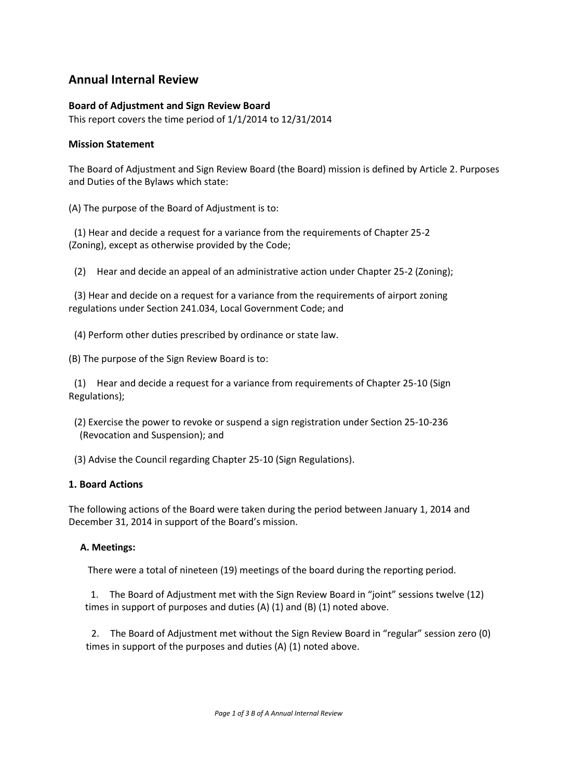# **Annual Internal Review**

## **Board of Adjustment and Sign Review Board**

This report covers the time period of 1/1/2014 to 12/31/2014

### **Mission Statement**

The Board of Adjustment and Sign Review Board (the Board) mission is defined by Article 2. Purposes and Duties of the Bylaws which state:

(A) The purpose of the Board of Adjustment is to:

(1) Hear and decide a request for a variance from the requirements of Chapter 25-2 (Zoning), except as otherwise provided by the Code;

(2) Hear and decide an appeal of an administrative action under Chapter 25-2 (Zoning);

(3) Hear and decide on a request for a variance from the requirements of airport zoning regulations under Section 241.034, Local Government Code; and

(4) Perform other duties prescribed by ordinance or state law.

(B) The purpose of the Sign Review Board is to:

(1) Hear and decide a request for a variance from requirements of Chapter 25-10 (Sign Regulations);

(2) Exercise the power to revoke or suspend a sign registration under Section 25-10-236 (Revocation and Suspension); and

(3) Advise the Council regarding Chapter 25-10 (Sign Regulations).

### **1. Board Actions**

The following actions of the Board were taken during the period between January 1, 2014 and December 31, 2014 in support of the Board's mission.

### **A. Meetings:**

There were a total of nineteen (19) meetings of the board during the reporting period.

1. The Board of Adjustment met with the Sign Review Board in "joint" sessions twelve (12) times in support of purposes and duties (A) (1) and (B) (1) noted above.

2. The Board of Adjustment met without the Sign Review Board in "regular" session zero (0) times in support of the purposes and duties (A) (1) noted above.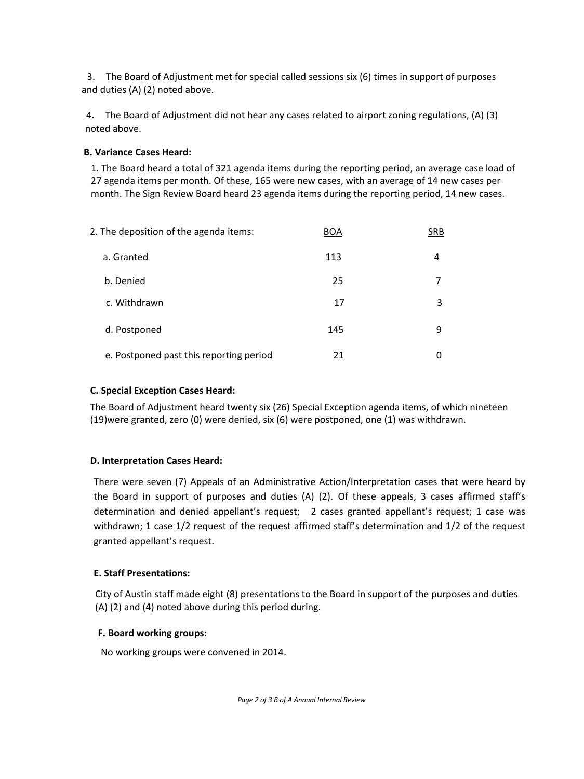3. The Board of Adjustment met for special called sessions six (6) times in support of purposes and duties (A) (2) noted above.

4. The Board of Adjustment did not hear any cases related to airport zoning regulations, (A) (3) noted above.

## **B. Variance Cases Heard:**

1. The Board heard a total of 321 agenda items during the reporting period, an average case load of 27 agenda items per month. Of these, 165 were new cases, with an average of 14 new cases per month. The Sign Review Board heard 23 agenda items during the reporting period, 14 new cases.

| 2. The deposition of the agenda items:  | <b>BOA</b> | <b>SRB</b> |
|-----------------------------------------|------------|------------|
| a. Granted                              | 113        | 4          |
| b. Denied                               | 25         |            |
| c. Withdrawn                            | 17         | 3          |
| d. Postponed                            | 145        | q          |
| e. Postponed past this reporting period | 21         |            |

## **C. Special Exception Cases Heard:**

The Board of Adjustment heard twenty six (26) Special Exception agenda items, of which nineteen (19)were granted, zero (0) were denied, six (6) were postponed, one (1) was withdrawn.

### **D. Interpretation Cases Heard:**

There were seven (7) Appeals of an Administrative Action/Interpretation cases that were heard by the Board in support of purposes and duties (A) (2). Of these appeals, 3 cases affirmed staff's determination and denied appellant's request; 2 cases granted appellant's request; 1 case was withdrawn; 1 case 1/2 request of the request affirmed staff's determination and 1/2 of the request granted appellant's request.

## **E. Staff Presentations:**

City of Austin staff made eight (8) presentations to the Board in support of the purposes and duties (A) (2) and (4) noted above during this period during.

### **F. Board working groups:**

No working groups were convened in 2014.